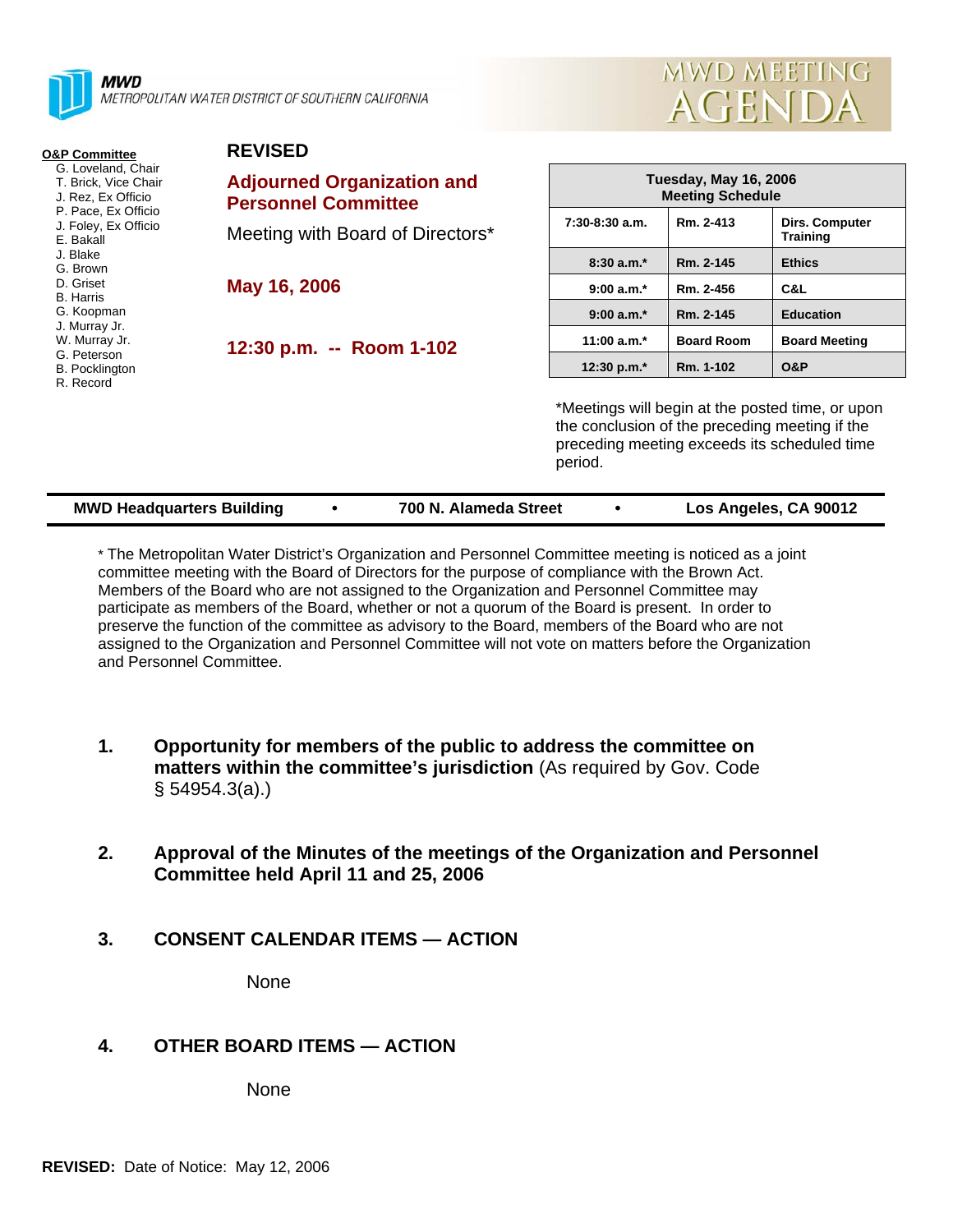

METROPOLITAN WATER DISTRICT OF SOUTHERN CALIFORNIA

**REVISED** 



| <b>O&amp;P Committee</b>                                                                                                     | <b>KEVISED</b>                                                  |                                                                                                                                                    |                   |                                   |
|------------------------------------------------------------------------------------------------------------------------------|-----------------------------------------------------------------|----------------------------------------------------------------------------------------------------------------------------------------------------|-------------------|-----------------------------------|
| G. Loveland, Chair<br>T. Brick, Vice Chair<br>J. Rez, Ex Officio<br>P. Pace, Ex Officio<br>J. Foley, Ex Officio<br>E. Bakall | <b>Adjourned Organization and</b><br><b>Personnel Committee</b> | <b>Tuesday, May 16, 2006</b><br><b>Meeting Schedule</b>                                                                                            |                   |                                   |
|                                                                                                                              | Meeting with Board of Directors*                                | $7:30-8:30$ a.m.                                                                                                                                   | Rm. 2-413         | Dirs. Computer<br><b>Training</b> |
| J. Blake<br>G. Brown                                                                                                         |                                                                 | $8:30a.m.*$                                                                                                                                        | Rm. 2-145         | <b>Ethics</b>                     |
| D. Griset<br><b>B.</b> Harris<br>G. Koopman<br>J. Murray Jr.<br>W. Murray Jr.                                                | May 16, 2006                                                    | $9:00 a.m.*$                                                                                                                                       | Rm. 2-456         | C&L                               |
|                                                                                                                              |                                                                 | $9:00 a.m.*$                                                                                                                                       | Rm. 2-145         | <b>Education</b>                  |
|                                                                                                                              | 12:30 p.m. -- Room 1-102                                        | 11:00 $a.m.*$                                                                                                                                      | <b>Board Room</b> | <b>Board Meeting</b>              |
| G. Peterson<br><b>B.</b> Pocklington<br>R. Record                                                                            |                                                                 | 12:30 p.m.*                                                                                                                                        | Rm. 1-102         | <b>O&amp;P</b>                    |
|                                                                                                                              |                                                                 | *Meetings will begin at the posted time, or upon<br>the conclusion of the preceding meeting if the<br>preceding meeting exceeds its scheduled time |                   |                                   |

**MWD Headquarters Building** y **700 N. Alameda Street** y **Los Angeles, CA 90012** 

period.

\* The Metropolitan Water District's Organization and Personnel Committee meeting is noticed as a joint committee meeting with the Board of Directors for the purpose of compliance with the Brown Act. Members of the Board who are not assigned to the Organization and Personnel Committee may participate as members of the Board, whether or not a quorum of the Board is present. In order to preserve the function of the committee as advisory to the Board, members of the Board who are not assigned to the Organization and Personnel Committee will not vote on matters before the Organization and Personnel Committee.

- **1. Opportunity for members of the public to address the committee on matters within the committee's jurisdiction** (As required by Gov. Code § 54954.3(a).)
- **2. Approval of the Minutes of the meetings of the Organization and Personnel Committee held April 11 and 25, 2006**
- **3. CONSENT CALENDAR ITEMS ACTION**

None

# **4. OTHER BOARD ITEMS — ACTION**

None